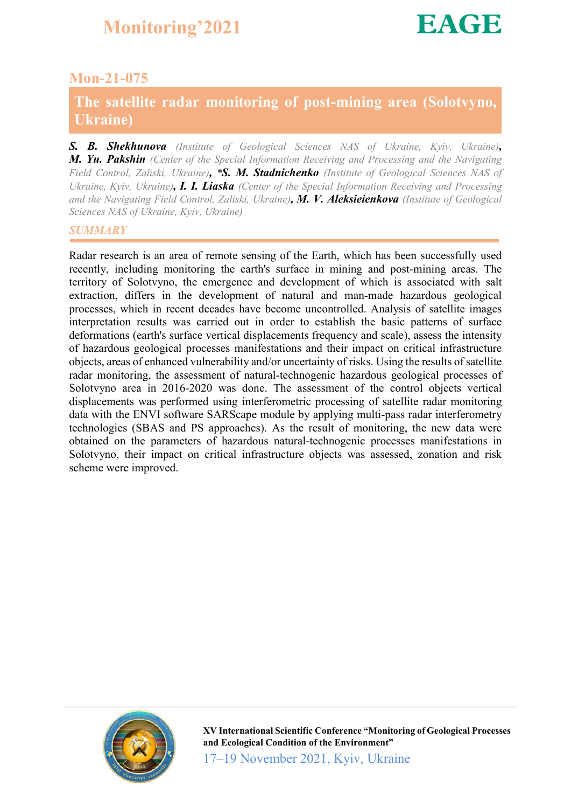#### Mon-21-075

#### The satellite radar monitoring of post-mining area (Solotvyno, Ukraine)

*S. B. Shekhunova (Institute of Geological Sciences NAS of Ukraine, Kyiv, Ukraine), M. Yu. Pakshin (Center of the Special Information Receiving and Processing and the Navigating Field Control, Zaliski, Ukraine), \*S. M. Stadnichenko (Institute of Geological Sciences NAS of Ukraine, Kyiv, Ukraine), I. I. Liaska (Center of the Special Information Receiving and Processing and the Navigating Field Control, Zaliski, Ukraine), M. V. Aleksieienkova (Institute of Geological Sciences NAS of Ukraine, Kyiv, Ukraine)*

#### *SUMMARY*

Radar research is an area of remote sensing of the Earth, which has been successfully used recently, including monitoring the earth's surface in mining and post-mining areas. The territory of Solotvyno, the emergence and development of which is associated with salt extraction, differs in the development of natural and man-made hazardous geological processes, which in recent decades have become uncontrolled. Analysis of satellite images interpretation results was carried out in order to establish the basic patterns of surface deformations (earth's surface vertical displacements frequency and scale), assess the intensity of hazardous geological processes manifestations and their impact on critical infrastructure objects, areas of enhanced vulnerability and/or uncertainty of risks. Using the results of satellite radar monitoring, the assessment of natural-technogenic hazardous geological processes of Solotvyno area in 2016-2020 was done. The assessment of the control objects vertical displacements was performed using interferometric processing of satellite radar monitoring data with the ENVI software SARScape module by applying multi-pass radar interferometry technologies (SBAS and PS approaches). As the result of monitoring, the new data were obtained on the parameters of hazardous natural-technogenic processes manifestations in Solotvyno, their impact on critical infrastructure objects was assessed, zonation and risk scheme were improved.

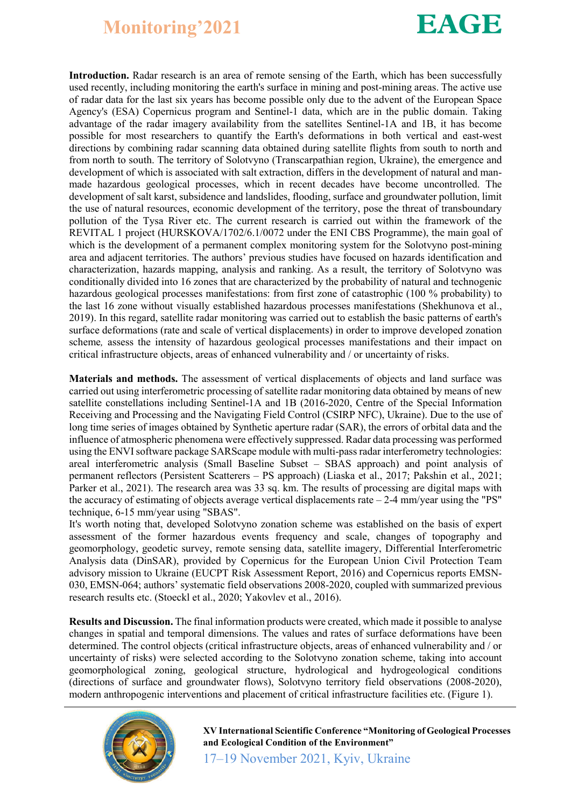

Introduction. Radar research is an area of remote sensing of the Earth, which has been successfully used recently, including monitoring the earth's surface in mining and post-mining areas. The active use of radar data for the last six years has become possible only due to the advent of the European Space Agency's (ESA) Copernicus program and Sentinel-1 data, which are in the public domain. Taking advantage of the radar imagery availability from the satellites Sentinel-1A and 1B, it has become possible for most researchers to quantify the Earth's deformations in both vertical and east-west directions by combining radar scanning data obtained during satellite flights from south to north and from north to south. The territory of Solotvyno (Transcarpathian region, Ukraine), the emergence and development of which is associated with salt extraction, differs in the development of natural and manmade hazardous geological processes, which in recent decades have become uncontrolled. The development of salt karst, subsidence and landslides, flooding, surface and groundwater pollution, limit the use of natural resources, economic development of the territory, pose the threat of transboundary pollution of the Tysa River etc. The current research is carried out within the framework of the REVITAL 1 project (HURSKOVA/1702/6.1/0072 under the ENI CBS Programme), the main goal of which is the development of a permanent complex monitoring system for the Soloty post-mining area and adjacent territories. The authors' previous studies have focused on hazards identification and characterization, hazards mapping, analysis and ranking. As a result, the territory of Solotvyno was conditionally divided into 16 zones that are characterized by the probability of natural and technogenic hazardous geological processes manifestations: from first zone of catastrophic (100 % probability) to the last 16 zone without visually established hazardous processes manifestations (Shekhunova et al., 2019). In this regard, satellite radar monitoring was carried out to establish the basic patterns of earth's surface deformations (rate and scale of vertical displacements) in order to improve developed zonation scheme*,* assess the intensity of hazardous geological processes manifestations and their impact on critical infrastructure objects, areas of enhanced vulnerability and / or uncertainty of risks.

Materials and methods. The assessment of vertical displacements of objects and land surface was carried out using interferometric processing of satellite radar monitoring data obtained by means of new satellite constellations including Sentinel-1A and 1B (2016-2020, Centre of the Special Information Receiving and Processing and the Navigating Field Control (CSIRP NFC), Ukraine). Due to the use of long time series of images obtained by Synthetic aperture radar (SAR), the errors of orbital data and the influence of atmospheric phenomena were effectively suppressed. Radar data processing was performed using the ENVI software package SARScape module with multi-pass radar interferometry technologies: areal interferometric analysis (Small Baseline Subset – SBAS approach) and point analysis of permanent reflectors (Persistent Scatterers – PS approach) (Liaska et al., 2017; Pakshin et al., 2021; Parker et al., 2021). The research area was 33 sq. km. The results of processing are digital maps with the accuracy of estimating of objects average vertical displacements rate  $-2-4$  mm/year using the "PS" technique, 6-15 mm/year using "SBAS".

It's worth noting that, developed Solotvyno zonation scheme was established on the basis of expert assessment of the former hazardous events frequency and scale, changes of topography and geomorphology, geodetic survey, remote sensing data, satellite imagery, Differential Interferometric Analysis data (DinSAR), provided by Copernicus for the European Union Civil Protection Team advisory mission to Ukraine (EUCPT Risk Assessment Report, 2016) and Copernicus reports EMSN-030, EMSN-064; authors' systematic field observations 2008-2020, coupled with summarized previous research results etc. (Stoeckl et al., 2020; Yakovlev et al., 2016).

Results and Discussion. The final information products were created, which made it possible to analyse changes in spatial and temporal dimensions. The values and rates of surface deformations have been determined. The control objects (critical infrastructure objects, areas of enhanced vulnerability and / or uncertainty of risks) were selected according to the Solotvyno zonation scheme, taking into account geomorphological zoning, geological structure, hydrological and hydrogeological conditions (directions of surface and groundwater flows), Solotvyno territory field observations (2008-2020), modern anthropogenic interventions and placement of critical infrastructure facilities etc. (Figure 1).



XV International Scientific Conference "Monitoring of Geological Processes and Ecological Condition of the Environment"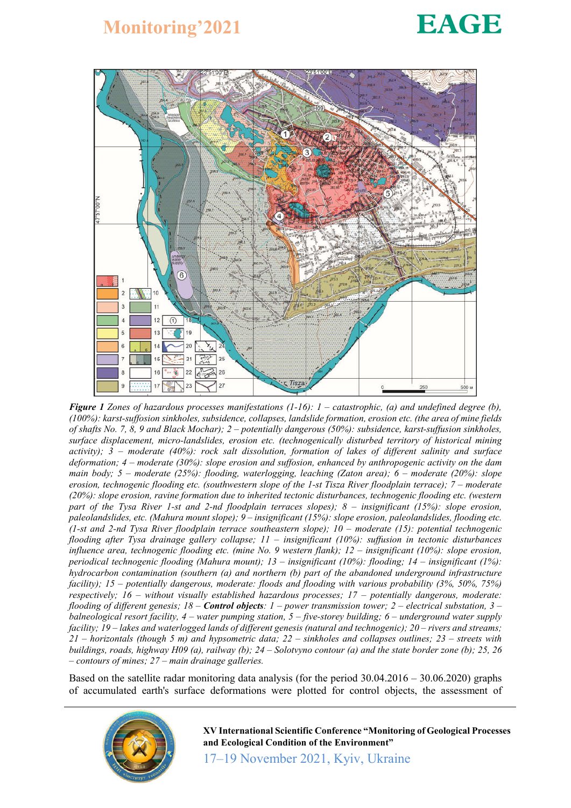# **EAGE**



*Figure 1 Zones of hazardous processes manifestations (1-16): 1 – catastrophic, (a) and undefined degree (b), (100%): karst-suffosion sinkholes, subsidence, collapses, landslide formation, erosion etc. (the area of mine fields of shafts No. 7, 8, 9 and Black Mochar); 2 – potentially dangerous (50%): subsidence, karst-suffusion sinkholes, surface displacement, micro-landslides, erosion etc. (technogenically disturbed territory of historical mining activity); 3 – moderate (40%): rock salt dissolution, formation of lakes of different salinity and surface deformation; 4 – moderate (30%): slope erosion and suffosion, enhanced by anthropogenic activity on the dam main body; 5 – moderate (25%): flooding, waterlogging, leaching (Zaton area); 6 – moderate (20%): slope erosion, technogenic flooding etc. (southwestern slope of the 1-st Tisza River floodplain terrace); 7 – moderate (20%): slope erosion, ravine formation due to inherited tectonic disturbances, technogenic flooding etc. (western part of the Tysa River 1-st and 2-nd floodplain terraces slopes); 8 – insignificant (15%): slope erosion, paleolandslides, etc. (Mahura mount slope); 9 – insignificant (15%): slope erosion, paleolandslides, flooding etc. (1-st and 2-nd Tysa River floodplain terrace southeastern slope); 10 – moderate (15): potential technogenic flooding after Tysa drainage gallery collapse; 11 – insignificant (10%): suffusion in tectonic disturbances influence area, technogenic flooding etc. (mine No. 9 western flank); 12 – insignificant (10%): slope erosion, periodical technogenic flooding (Mahura mount); 13 – insignificant (10%): flooding; 14 – insignificant (1%): hydrocarbon contamination (southern (a) and northern (b) part of the abandoned underground infrastructure facility); 15 – potentially dangerous, moderate: floods and flooding with various probability (3%, 50%, 75%) respectively; 16 – without visually established hazardous processes; 17 – potentially dangerous, moderate: flooding of different genesis; 18 – Control objects: 1 – power transmission tower; 2 – electrical substation, 3 – balneological resort facility, 4 – water pumping station, 5 – five-storey building; 6 – underground water supply facility; 19 – lakes and waterlogged lands of different genesis (natural and technogenic); 20 – rivers and streams; 21 – horizontals (though 5 m) and hypsometric data; 22 – sinkholes and collapses outlines; 23 – streets with buildings, roads, highway H09 (a), railway (b); 24 – Solotvyno contour (a) and the state border zone (b); 25, 26 – contours of mines; 27 – main drainage galleries.*

Based on the satellite radar monitoring data analysis (for the period 30.04.2016 – 30.06.2020) graphs of accumulated earth's surface deformations were plotted for control objects, the assessment of



XV International Scientific Conference "Monitoring of Geological Processes and Ecological Condition of the Environment"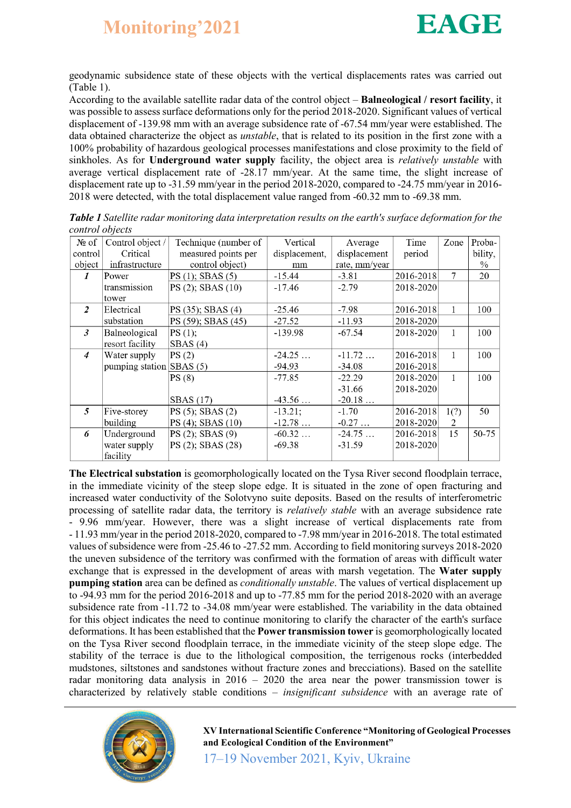geodynamic subsidence state of these objects with the vertical displacements rates was carried out (Table 1).

According to the available satellite radar data of the control object – Balneological / resort facility, it was possible to assess surface deformations only for the period 2018-2020. Significant values of vertical displacement of -139.98 mm with an average subsidence rate of -67.54 mm/year were established. The data obtained characterize the object as *unstable*, that is related to its position in the first zone with a 100% probability of hazardous geological processes manifestations and close proximity to the field of sinkholes. As for Underground water supply facility, the object area is *relatively unstable* with average vertical displacement rate of -28.17 mm/year. At the same time, the slight increase of displacement rate up to -31.59 mm/year in the period 2018-2020, compared to -24.75 mm/year in 2016- 2018 were detected, with the total displacement value ranged from -60.32 mm to -69.38 mm.

| CUITTUL UULCUS |                  |                      |               |               |           |      |         |
|----------------|------------------|----------------------|---------------|---------------|-----------|------|---------|
| $N_2$ of       | Control object / | Technique (number of | Vertical      | Average       | Time      | Zone | Proba-  |
| control        | Critical         | measured points per  | displacement, | displacement  | period    |      | bility, |
| object         | infrastructure   | control object)      | mm            | rate, mm/year |           |      | $\%$    |
| 1              | Power            | PS(1); SBAS(5)       | $-15.44$      | $-3.81$       | 2016-2018 | 7    | 20      |
|                | transmission     | PS (2); SBAS (10)    | $-17.46$      | $-2.79$       | 2018-2020 |      |         |
|                | tower            |                      |               |               |           |      |         |
| 2              | Electrical       | PS (35); SBAS (4)    | $-25.46$      | $-7.98$       | 2016-2018 | 1    | 100     |
|                | substation       | PS (59); SBAS (45)   | $-27.52$      | $-11.93$      | 2018-2020 |      |         |
| 3              | Balneological    | PS(1);               | $-139.98$     | $-67.54$      | 2018-2020 | 1    | 100     |
|                | resort facility  | SBAS(4)              |               |               |           |      |         |
| $\overline{4}$ | Water supply     | PS(2)                | $-24.25$      | $-11.72$      | 2016-2018 | 1    | 100     |
|                | pumping station  | SBAS(5)              | $-94.93$      | $-34.08$      | 2016-2018 |      |         |
|                |                  | PS(8)                | $-77.85$      | $-22.29$      | 2018-2020 | 1    | 100     |
|                |                  |                      |               | $-31.66$      | 2018-2020 |      |         |
|                |                  | <b>SBAS</b> (17)     | $-43.56$      | $-20.18$      |           |      |         |
| 5              | Five-storey      | $PS(5)$ ; SBAS $(2)$ | $-13.21;$     | $-1.70$       | 2016-2018 | 1(?) | 50      |
|                | building         | PS (4); SBAS (10)    | $-12.78$      | $-0.27$       | 2018-2020 | 2    |         |
| 6              | Underground      | $PS(2)$ ; SBAS $(9)$ | $-60.32$      | $-24.75$      | 2016-2018 | 15   | 50-75   |
|                | water supply     | PS (2); SBAS (28)    | $-69.38$      | $-31.59$      | 2018-2020 |      |         |
|                | facility         |                      |               |               |           |      |         |

*Table 1 Satellite radar monitoring data interpretation results on the earth's surface deformation for the control objects*

The Electrical substation is geomorphologically located on the Tysa River second floodplain terrace, in the immediate vicinity of the steep slope edge. It is situated in the zone of open fracturing and increased water conductivity of the Solotvyno suite deposits. Based on the results of interferometric processing of satellite radar data, the territory is *relatively stable* with an average subsidence rate - 9.96 mm/year. However, there was a slight increase of vertical displacements rate from - 11.93 mm/year in the period 2018-2020, compared to -7.98 mm/year in 2016-2018. The total estimated values of subsidence were from -25.46 to -27.52 mm. According to field monitoring surveys 2018-2020 the uneven subsidence of the territory was confirmed with the formation of areas with difficult water exchange that is expressed in the development of areas with marsh vegetation. The Water supply pumping station area can be defined as *conditionally unstable*. The values of vertical displacement up to -94.93 mm for the period 2016-2018 and up to -77.85 mm for the period 2018-2020 with an average subsidence rate from -11.72 to -34.08 mm/year were established. The variability in the data obtained for this object indicates the need to continue monitoring to clarify the character of the earth's surface deformations. It has been established that the Power transmission tower is geomorphologically located on the Tysa River second floodplain terrace, in the immediate vicinity of the steep slope edge. The stability of the terrace is due to the lithological composition, the terrigenous rocks (interbedded mudstones, siltstones and sandstones without fracture zones and brecciations). Based on the satellite radar monitoring data analysis in 2016 – 2020 the area near the power transmission tower is characterized by relatively stable conditions – *insignificant subsidence* with an average rate of



XV International Scientific Conference "Monitoring of Geological Processes and Ecological Condition of the Environment"